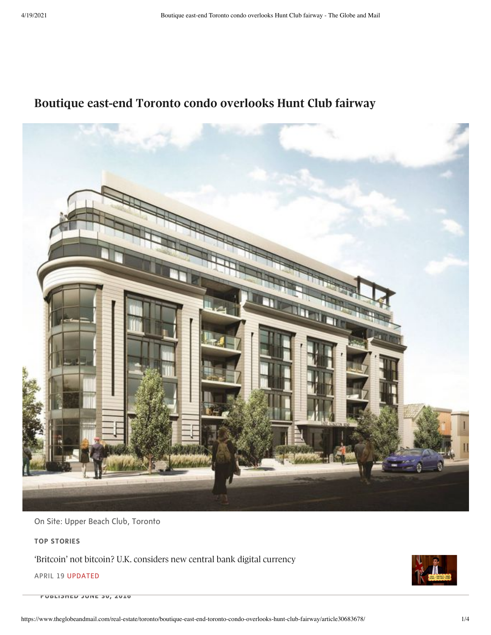# **Boutique east-end Toronto condo overlooks Hunt Club fairway**



On Site: Upper Beach Club, Toronto

**TOP STORIES**

**Pritcoin**<sup>*n*</sup> 'Britcoin' not bitcoin? U.K. [considers](https://www.theglobeandmail.com/business/international-business/european-business/article-britcoin-not-bitcoin-uk-considers-new-central-bank-digital-currency/) new central bank digital currency

APRIL 19 UPDATED

**PUBLISHED JUNE 30, 2016**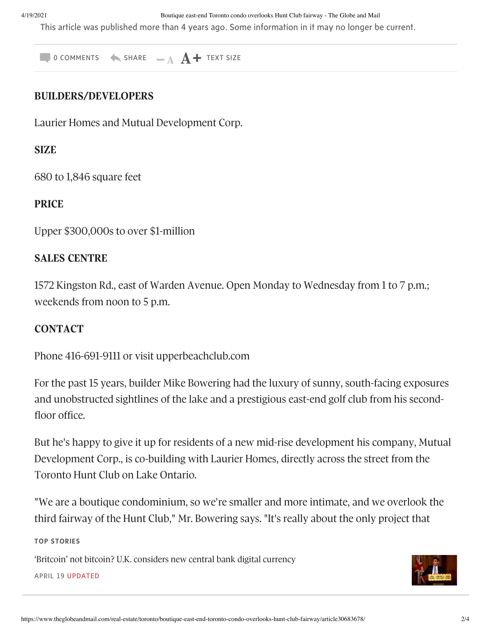4/19/2021 Boutique east-end Toronto condo overlooks Hunt Club fairway - The Globe and Mail

This article was published more than 4 years ago. Some information in it may no longer be current.

 $\bullet$  0 comments  $\bullet$  share  $\bullet$   $\mathbf{A}$  + text size

### **BUILDERS/DEVELOPERS**

Laurier Homes and Mutual Development Corp.

# **SIZE**

680 to 1,846 square feet

#### **PRICE**

Upper \$300,000s to over \$1-million

# **SALES CENTRE**

1572 Kingston Rd., east of Warden Avenue. Open Monday to Wednesday from 1 to 7 p.m.; weekends from noon to 5 p.m.

# **CONTACT**

Phone 416-691-9111 or visit upperbeachclub.com

For the past 15 years, builder Mike Bowering had the luxury of sunny, south-facing exposures and unobstructed sightlines of the lake and a prestigious east-end golf club from his secondfloor office.

But he's happy to give it up for residents of a new mid-rise development his company, Mutual Development Corp., is co-building with Laurier Homes, directly across the street from the Toronto Hunt Club on Lake Ontario.

"We are a boutique condominium, so we're smaller and more intimate, and we overlook the third fairway of the Hunt Club," Mr. Bowering says. "It's really about the only project that

overlooks the golf course and the lake." **TOP STORIES**

'Britcoin' not bitcoin? U.K. considers new central bank digital currency Kingston Rd., at Cornell Avenue, just west of Warden Avenue. APRIL 19 UPDATED

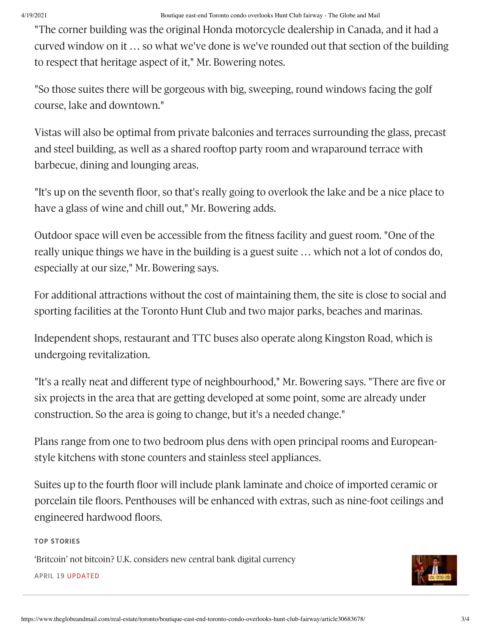"The corner building was the original Honda motorcycle dealership in Canada, and it had a curved window on it … so what we've done is we've rounded out that section of the building to respect that heritage aspect of it," Mr. Bowering notes.

"So those suites there will be gorgeous with big, sweeping, round windows facing the golf course, lake and downtown."

Vistas will also be optimal from private balconies and terraces surrounding the glass, precast and steel building, as well as a shared rooftop party room and wraparound terrace with barbecue, dining and lounging areas.

"It's up on the seventh floor, so that's really going to overlook the lake and be a nice place to have a glass of wine and chill out," Mr. Bowering adds.

Outdoor space will even be accessible from the fitness facility and guest room. "One of the really unique things we have in the building is a guest suite … which not a lot of condos do, especially at our size," Mr. Bowering says.

For additional attractions without the cost of maintaining them, the site is close to social and sporting facilities at the Toronto Hunt Club and two major parks, beaches and marinas.

Independent shops, restaurant and TTC buses also operate along Kingston Road, which is undergoing revitalization.

"It's a really neat and different type of neighbourhood," Mr. Bowering says. "There are five or six projects in the area that are getting developed at some point, some are already under construction. So the area is going to change, but it's a needed change."

Plans range from one to two bedroom plus dens with open principal rooms and Europeanstyle kitchens with stone counters and stainless steel appliances.

Suites up to the fourth floor will include plank laminate and choice of imported ceramic or porcelain tile floors. Penthouses will be enhanced with extras, such as nine-foot ceilings and engineered hardwood floors.

#### $\mathsf{P}(\mathsf{P}(\mathsf{P}(\mathsf{P}(\mathsf{P}(\mathsf{P}(\mathsf{P}(\mathsf{P}(\mathsf{P}(\mathsf{P}(\mathsf{P}(\mathsf{P}(\mathsf{P}(\mathsf{P}(\mathsf{P}(\mathsf{P}(\mathsf{P}(\mathsf{P}(\mathsf{P}(\mathsf{P}(\mathsf{P}(\mathsf{P}(\mathsf{P}(\mathsf{P}(\mathsf{P}(\mathsf{P}(\mathsf{P}(\mathsf{P}(\mathsf{P}(\mathsf{P}(\mathsf{P}(\mathsf{P}(\mathsf{P}(\mathsf{P}(\mathsf{P}(\mathsf{P}(\mathsf{$ **TOP STORIES**

'Britcoin' not bitcoin? U.K. considers new central bank digital currency APRIL 19 UPDATED